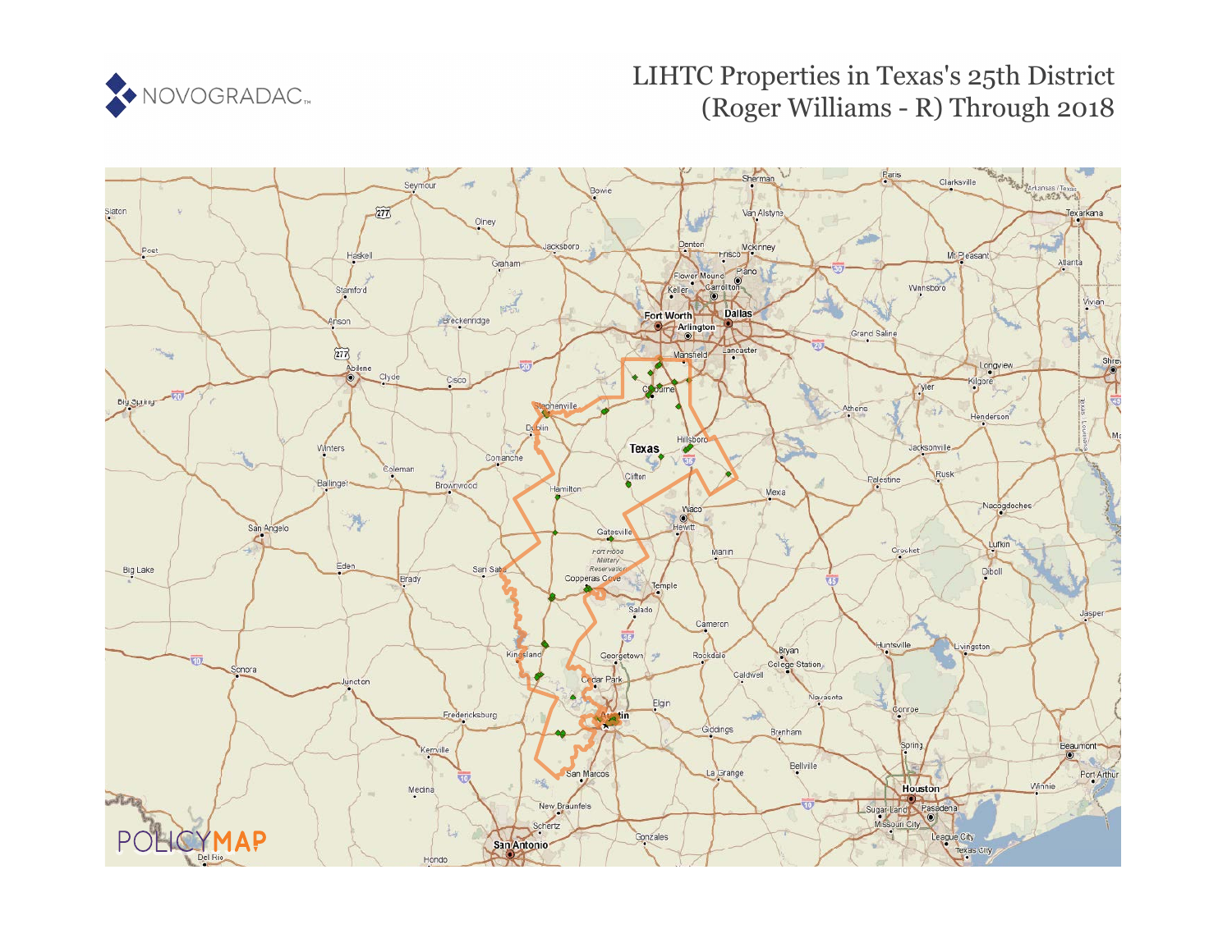

# LIHTC Properties in Texas's 25th District (Roger Williams - R) Through 2018

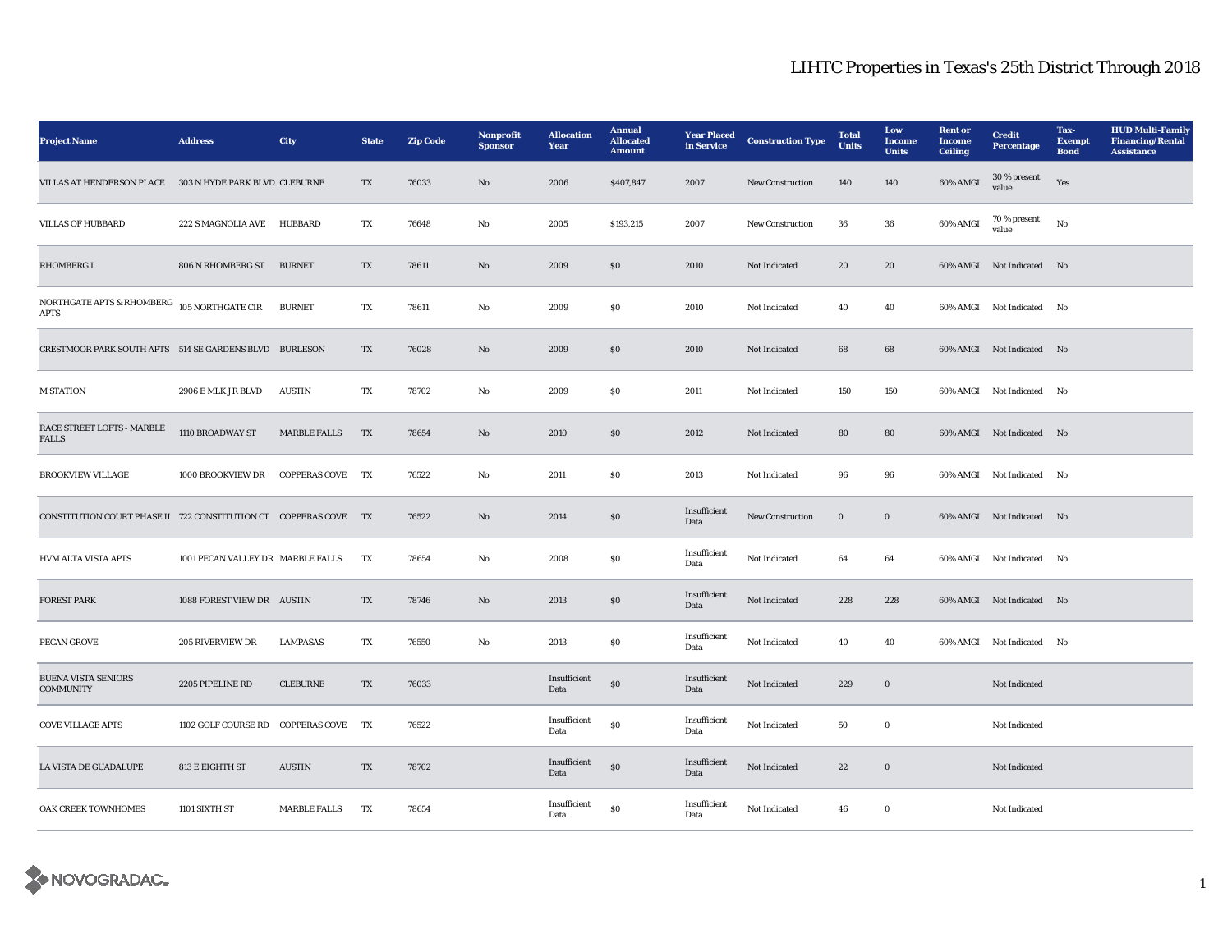| <b>Project Name</b>                                              | <b>Address</b>                    | City                 | <b>State</b> | <b>Zip Code</b> | Nonprofit<br><b>Sponsor</b> | <b>Allocation</b><br>Year | <b>Annual</b><br><b>Allocated</b><br><b>Amount</b> | <b>Year Placed</b><br>in Service | <b>Construction Type</b> | <b>Total</b><br><b>Units</b> | Low<br><b>Income</b><br><b>Units</b> | <b>Rent</b> or<br><b>Income</b><br><b>Ceiling</b> | <b>Credit</b><br>Percentage | Tax-<br><b>Exempt</b><br><b>Bond</b> | <b>HUD Multi-Family</b><br><b>Financing/Rental</b><br><b>Assistance</b> |
|------------------------------------------------------------------|-----------------------------------|----------------------|--------------|-----------------|-----------------------------|---------------------------|----------------------------------------------------|----------------------------------|--------------------------|------------------------------|--------------------------------------|---------------------------------------------------|-----------------------------|--------------------------------------|-------------------------------------------------------------------------|
| VILLAS AT HENDERSON PLACE 303 N HYDE PARK BLVD CLEBURNE          |                                   |                      | TX           | 76033           | $\mathbf{N}\mathbf{o}$      | 2006                      | \$407,847                                          | 2007                             | New Construction         | 140                          | 140                                  | 60% AMGI                                          | $30\,\%$ present<br>value   | Yes                                  |                                                                         |
| <b>VILLAS OF HUBBARD</b>                                         | 222 S MAGNOLIA AVE HUBBARD        |                      | TX           | 76648           | No                          | 2005                      | \$193,215                                          | 2007                             | New Construction         | 36                           | 36                                   | 60% AMGI                                          | 70 % present<br>value       | No                                   |                                                                         |
| <b>RHOMBERG I</b>                                                | 806 N RHOMBERG ST BURNET          |                      | TX           | 78611           | $\mathbf{No}$               | 2009                      | \$0                                                | 2010                             | Not Indicated            | 20                           | 20                                   |                                                   | 60% AMGI Not Indicated No   |                                      |                                                                         |
| NORTHGATE APTS & RHOMBERG $\,$ 105 NORTHGATE CIR<br>APTS         |                                   | <b>BURNET</b>        | TX           | 78611           | $\mathbf{No}$               | 2009                      | $\$0$                                              | 2010                             | Not Indicated            | 40                           | 40                                   |                                                   | 60% AMGI Not Indicated      | No                                   |                                                                         |
| CRESTMOOR PARK SOUTH APTS 514 SE GARDENS BLVD BURLESON           |                                   |                      | TX           | 76028           | No                          | 2009                      | SO.                                                | 2010                             | Not Indicated            | 68                           | 68                                   |                                                   | 60% AMGI Not Indicated No   |                                      |                                                                         |
| <b>M STATION</b>                                                 | 2906 E MLK JR BLVD                | <b>AUSTIN</b>        | TX           | 78702           | No                          | 2009                      | \$0\$                                              | 2011                             | Not Indicated            | 150                          | 150                                  |                                                   | 60% AMGI Not Indicated No   |                                      |                                                                         |
| RACE STREET LOFTS - MARBLE<br><b>FALLS</b>                       | 1110 BROADWAY ST                  | <b>MARBLE FALLS</b>  | TX           | 78654           | No                          | 2010                      | \$0                                                | 2012                             | Not Indicated            | 80                           | 80                                   |                                                   | 60% AMGI Not Indicated No   |                                      |                                                                         |
| <b>BROOKVIEW VILLAGE</b>                                         | 1000 BROOKVIEW DR                 | <b>COPPERAS COVE</b> | TX           | 76522           | No                          | 2011                      | <b>SO</b>                                          | 2013                             | Not Indicated            | 96                           | 96                                   |                                                   | 60% AMGI Not Indicated      | No                                   |                                                                         |
| CONSTITUTION COURT PHASE II 722 CONSTITUTION CT COPPERAS COVE TX |                                   |                      |              | 76522           | No                          | 2014                      | $\$0$                                              | Insufficient<br>Data             | New Construction         | $\bf{0}$                     | $\bf{0}$                             |                                                   | 60% AMGI Not Indicated No   |                                      |                                                                         |
| <b>HVM ALTA VISTA APTS</b>                                       | 1001 PECAN VALLEY DR MARBLE FALLS |                      | TX           | 78654           | No                          | 2008                      | $\$0$                                              | Insufficient<br>Data             | Not Indicated            | 64                           | 64                                   |                                                   | 60% AMGI Not Indicated No   |                                      |                                                                         |
| <b>FOREST PARK</b>                                               | 1088 FOREST VIEW DR AUSTIN        |                      | TX           | 78746           | $\mathbf{N}\mathbf{o}$      | 2013                      | $\$0$                                              | Insufficient<br>Data             | Not Indicated            | 228                          | 228                                  |                                                   | 60% AMGI Not Indicated No   |                                      |                                                                         |
| PECAN GROVE                                                      | 205 RIVERVIEW DR                  | <b>LAMPASAS</b>      | TX           | 76550           | No                          | 2013                      | $\$0$                                              | Insufficient<br>Data             | Not Indicated            | 40                           | 40                                   |                                                   | 60% AMGI Not Indicated No   |                                      |                                                                         |
| <b>BUENA VISTA SENIORS</b><br>COMMUNITY                          | 2205 PIPELINE RD                  | <b>CLEBURNE</b>      | TX           | 76033           |                             | Insufficient<br>Data      | \$0                                                | Insufficient<br>Data             | Not Indicated            | 229                          | $\bf{0}$                             |                                                   | Not Indicated               |                                      |                                                                         |
| <b>COVE VILLAGE APTS</b>                                         | 1102 GOLF COURSE RD COPPERAS COVE |                      | TX           | 76522           |                             | Insufficient<br>Data      | $\boldsymbol{\mathsf{S}}\boldsymbol{\mathsf{O}}$   | Insufficient<br>Data             | Not Indicated            | 50                           | $\bf{0}$                             |                                                   | Not Indicated               |                                      |                                                                         |
| LA VISTA DE GUADALUPE                                            | 813 E EIGHTH ST                   | <b>AUSTIN</b>        | TX           | 78702           |                             | Insufficient<br>Data      | $\$0$                                              | Insufficient<br>Data             | Not Indicated            | 22                           | $\bf{0}$                             |                                                   | Not Indicated               |                                      |                                                                         |
| OAK CREEK TOWNHOMES                                              | 1101 SIXTH ST                     | <b>MARBLE FALLS</b>  | TX           | 78654           |                             | Insufficient<br>Data      | \$0\$                                              | Insufficient<br>Data             | Not Indicated            | 46                           | $\bf{0}$                             |                                                   | Not Indicated               |                                      |                                                                         |

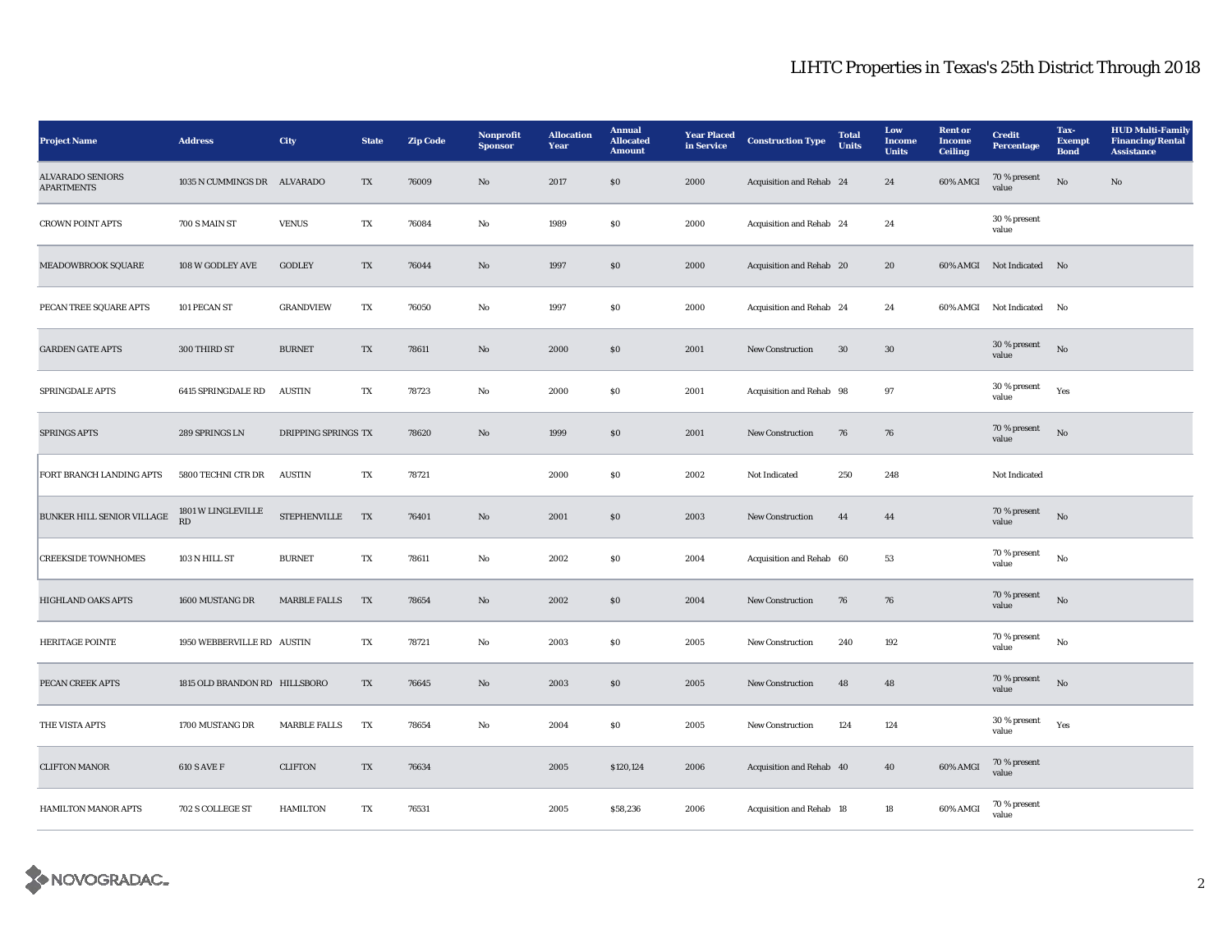| <b>Project Name</b>                          | <b>Address</b>                | City                | <b>State</b> | <b>Zip Code</b> | Nonprofit<br><b>Sponsor</b> | <b>Allocation</b><br>Year | <b>Annual</b><br><b>Allocated</b><br><b>Amount</b> | <b>Year Placed</b><br>in Service | <b>Construction Type</b>        | <b>Total</b><br><b>Units</b> | Low<br>Income<br><b>Units</b> | <b>Rent</b> or<br><b>Income</b><br><b>Ceiling</b> | <b>Credit</b><br><b>Percentage</b> | Tax-<br><b>Exempt</b><br><b>Bond</b> | <b>HUD Multi-Family</b><br><b>Financing/Rental</b><br><b>Assistance</b> |
|----------------------------------------------|-------------------------------|---------------------|--------------|-----------------|-----------------------------|---------------------------|----------------------------------------------------|----------------------------------|---------------------------------|------------------------------|-------------------------------|---------------------------------------------------|------------------------------------|--------------------------------------|-------------------------------------------------------------------------|
| <b>ALVARADO SENIORS</b><br><b>APARTMENTS</b> | 1035 N CUMMINGS DR ALVARADO   |                     | TX           | 76009           | $\mathbf{N}\mathbf{o}$      | 2017                      | $\$0$                                              | 2000                             | Acquisition and Rehab 24        |                              | 24                            | 60% AMGI                                          | 70 % present<br>value              | No                                   | $\mathbf{N}\mathbf{o}$                                                  |
| <b>CROWN POINT APTS</b>                      | 700 S MAIN ST                 | <b>VENUS</b>        | TX           | 76084           | No                          | 1989                      | $\$0$                                              | 2000                             | Acquisition and Rehab 24        |                              | 24                            |                                                   | 30 % present<br>value              |                                      |                                                                         |
| MEADOWBROOK SQUARE                           | 108 W GODLEY AVE              | <b>GODLEY</b>       | TX           | 76044           | $\mathbf{N}\mathbf{o}$      | 1997                      | S <sub>0</sub>                                     | 2000                             | Acquisition and Rehab 20        |                              | 20                            |                                                   | 60% AMGI Not Indicated No          |                                      |                                                                         |
| PECAN TREE SQUARE APTS                       | 101 PECAN ST                  | <b>GRANDVIEW</b>    | TX           | 76050           | No                          | 1997                      | \$0\$                                              | 2000                             | Acquisition and Rehab 24        |                              | 24                            |                                                   | 60% AMGI Not Indicated             | No                                   |                                                                         |
| <b>GARDEN GATE APTS</b>                      | 300 THIRD ST                  | <b>BURNET</b>       | TX           | 78611           | No                          | 2000                      | \$0\$                                              | 2001                             | <b>New Construction</b>         | 30                           | $30\,$                        |                                                   | 30 % present<br>value              | No                                   |                                                                         |
| SPRINGDALE APTS                              | 6415 SPRINGDALE RD            | <b>AUSTIN</b>       | TX           | 78723           | No                          | 2000                      | ${\bf S0}$                                         | 2001                             | Acquisition and Rehab 98        |                              | 97                            |                                                   | 30 % present<br>value              | Yes                                  |                                                                         |
| <b>SPRINGS APTS</b>                          | 289 SPRINGS LN                | DRIPPING SPRINGS TX |              | 78620           | No                          | 1999                      | \$0                                                | 2001                             | New Construction                | 76                           | 76                            |                                                   | 70 % present<br>value              | No                                   |                                                                         |
| FORT BRANCH LANDING APTS                     | 5800 TECHNI CTR DR            | <b>AUSTIN</b>       | TX           | 78721           |                             | 2000                      | $\$0$                                              | 2002                             | Not Indicated                   | 250                          | 248                           |                                                   | Not Indicated                      |                                      |                                                                         |
| BUNKER HILL SENIOR VILLAGE                   | 1801 W LINGLEVILLE<br>RD      | <b>STEPHENVILLE</b> | TX           | 76401           | $\mathbf{N}\mathbf{o}$      | 2001                      | S <sub>0</sub>                                     | 2003                             | <b>New Construction</b>         | 44                           | 44                            |                                                   | 70 % present<br>value              | $\rm No$                             |                                                                         |
| <b>CREEKSIDE TOWNHOMES</b>                   | 103 N HILL ST                 | <b>BURNET</b>       | TX           | 78611           | No                          | 2002                      | \$0\$                                              | 2004                             | Acquisition and Rehab 60        |                              | 53                            |                                                   | 70 % present<br>value              | No                                   |                                                                         |
| HIGHLAND OAKS APTS                           | 1600 MUSTANG DR               | <b>MARBLE FALLS</b> | TX           | 78654           | $\mathbf{N}\mathbf{o}$      | 2002                      | ${\bf S0}$                                         | 2004                             | New Construction                | 76                           | 76                            |                                                   | 70 % present<br>value              | No                                   |                                                                         |
| <b>HERITAGE POINTE</b>                       | 1950 WEBBERVILLE RD AUSTIN    |                     | TX           | 78721           | No                          | 2003                      | $\$0$                                              | 2005                             | New Construction                | 240                          | 192                           |                                                   | 70 % present<br>value              | No                                   |                                                                         |
| PECAN CREEK APTS                             | 1815 OLD BRANDON RD HILLSBORO |                     | TX           | 76645           | $\mathbf{N}\mathbf{o}$      | 2003                      | \$0                                                | 2005                             | New Construction                | 48                           | 48                            |                                                   | 70 % present<br>value              | $_{\rm No}$                          |                                                                         |
| THE VISTA APTS                               | 1700 MUSTANG DR               | MARBLE FALLS        | TX           | 78654           | No                          | 2004                      | $\$0$                                              | 2005                             | <b>New Construction</b>         | 124                          | 124                           |                                                   | 30 % present<br>value              | Yes                                  |                                                                         |
| <b>CLIFTON MANOR</b>                         | <b>610 S AVE F</b>            | <b>CLIFTON</b>      | TX           | 76634           |                             | 2005                      | \$120,124                                          | 2006                             | <b>Acquisition and Rehab 40</b> |                              | 40                            | 60% AMGI                                          | 70 % present<br>value              |                                      |                                                                         |
| HAMILTON MANOR APTS                          | 702 S COLLEGE ST              | <b>HAMILTON</b>     | TX           | 76531           |                             | 2005                      | \$58,236                                           | 2006                             | Acquisition and Rehab 18        |                              | 18                            | 60% AMGI                                          | 70 % present<br>value              |                                      |                                                                         |

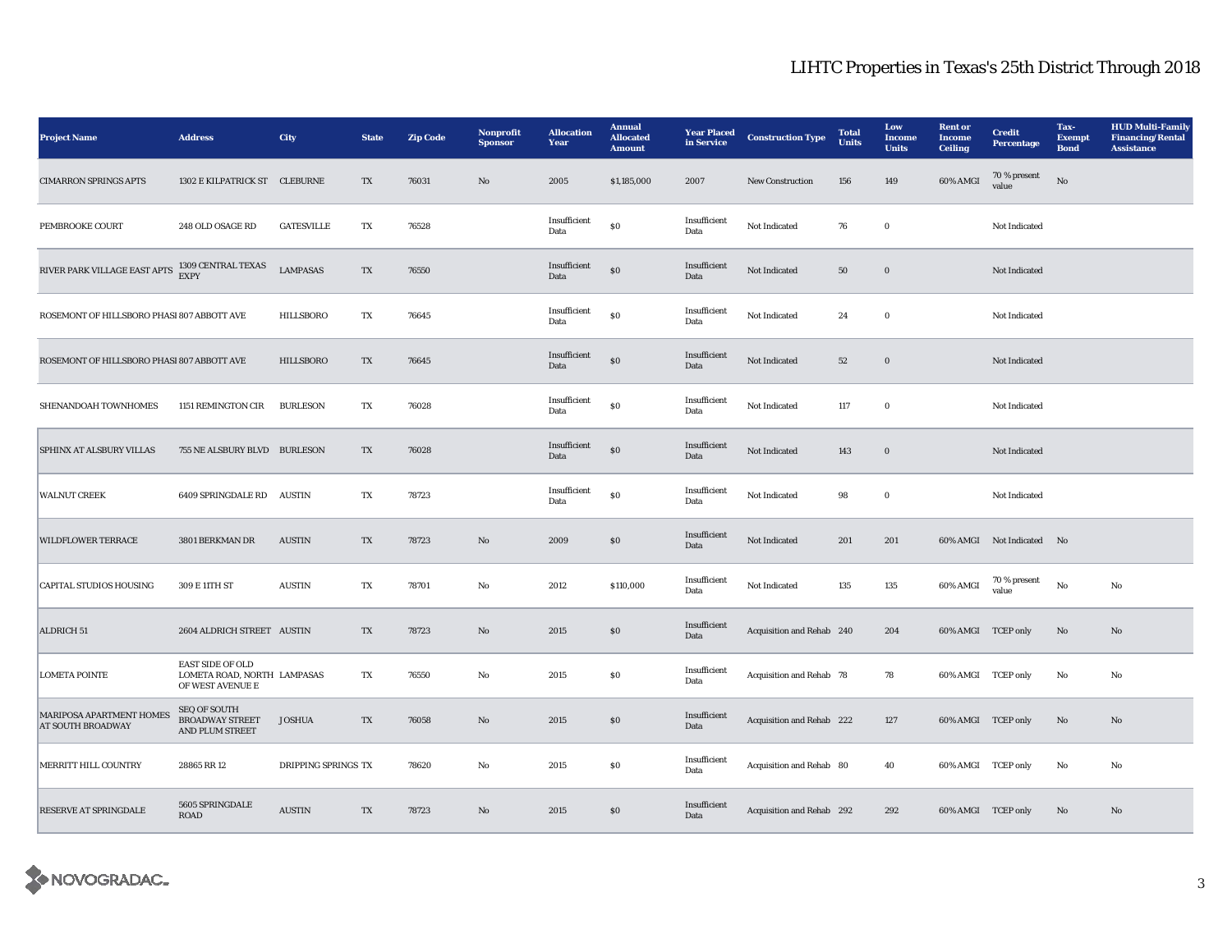| <b>Project Name</b>                                  | <b>Address</b>                                                             | City                | <b>State</b> | <b>Zip Code</b> | Nonprofit<br><b>Sponsor</b> | <b>Allocation</b><br>Year | <b>Annual</b><br><b>Allocated</b><br><b>Amount</b> | <b>Year Placed</b><br>in Service | <b>Construction Type</b>  | <b>Total</b><br><b>Units</b> | Low<br><b>Income</b><br><b>Units</b> | <b>Rent or</b><br><b>Income</b><br><b>Ceiling</b> | <b>Credit</b><br><b>Percentage</b> | Tax-<br><b>Exempt</b><br><b>Bond</b> | <b>HUD Multi-Family</b><br><b>Financing/Rental</b><br><b>Assistance</b> |
|------------------------------------------------------|----------------------------------------------------------------------------|---------------------|--------------|-----------------|-----------------------------|---------------------------|----------------------------------------------------|----------------------------------|---------------------------|------------------------------|--------------------------------------|---------------------------------------------------|------------------------------------|--------------------------------------|-------------------------------------------------------------------------|
| <b>CIMARRON SPRINGS APTS</b>                         | 1302 E KILPATRICK ST CLEBURNE                                              |                     | TX           | 76031           | $\mathbf{N}\mathbf{o}$      | 2005                      | \$1,185,000                                        | 2007                             | New Construction          | 156                          | 149                                  | 60% AMGI                                          | 70 % present<br>value              | No                                   |                                                                         |
| PEMBROOKE COURT                                      | 248 OLD OSAGE RD                                                           | <b>GATESVILLE</b>   | TX           | 76528           |                             | Insufficient<br>Data      | \$0                                                | Insufficient<br>Data             | Not Indicated             | 76                           | $\bf{0}$                             |                                                   | Not Indicated                      |                                      |                                                                         |
| RIVER PARK VILLAGE EAST APTS                         | 1309 CENTRAL TEXAS<br><b>EXPY</b>                                          | <b>LAMPASAS</b>     | TX           | 76550           |                             | Insufficient<br>Data      | $\$0$                                              | Insufficient<br>Data             | Not Indicated             | 50                           | $\boldsymbol{0}$                     |                                                   | Not Indicated                      |                                      |                                                                         |
| ROSEMONT OF HILLSBORO PHASI 807 ABBOTT AVE           |                                                                            | HILLSBORO           | TX           | 76645           |                             | Insufficient<br>Data      | \$0                                                | Insufficient<br>Data             | Not Indicated             | 24                           | $\bf{0}$                             |                                                   | Not Indicated                      |                                      |                                                                         |
| ROSEMONT OF HILLSBORO PHASI 807 ABBOTT AVE           |                                                                            | <b>HILLSBORO</b>    | TX           | 76645           |                             | Insufficient<br>Data      | $\$0$                                              | Insufficient<br>Data             | Not Indicated             | 52                           | $\boldsymbol{0}$                     |                                                   | Not Indicated                      |                                      |                                                                         |
| SHENANDOAH TOWNHOMES                                 | 1151 REMINGTON CIR                                                         | <b>BURLESON</b>     | TX           | 76028           |                             | Insufficient<br>Data      | \$0                                                | Insufficient<br>Data             | Not Indicated             | 117                          | $\bf{0}$                             |                                                   | Not Indicated                      |                                      |                                                                         |
| <b>SPHINX AT ALSBURY VILLAS</b>                      | 755 NE ALSBURY BLVD BURLESON                                               |                     | TX           | 76028           |                             | Insufficient<br>Data      | \$0                                                | Insufficient<br>Data             | Not Indicated             | 143                          | $\bf{0}$                             |                                                   | Not Indicated                      |                                      |                                                                         |
| <b>WALNUT CREEK</b>                                  | 6409 SPRINGDALE RD                                                         | <b>AUSTIN</b>       | TX           | 78723           |                             | Insufficient<br>Data      | $\$0$                                              | Insufficient<br>Data             | Not Indicated             | 98                           | $\bf{0}$                             |                                                   | Not Indicated                      |                                      |                                                                         |
| <b>WILDFLOWER TERRACE</b>                            | 3801 BERKMAN DR                                                            | <b>AUSTIN</b>       | TX           | 78723           | No                          | 2009                      | $\$0$                                              | Insufficient<br>Data             | Not Indicated             | 201                          | 201                                  |                                                   | 60% AMGI Not Indicated No          |                                      |                                                                         |
| <b>CAPITAL STUDIOS HOUSING</b>                       | 309 E 11TH ST                                                              | <b>AUSTIN</b>       | TX           | 78701           | No                          | 2012                      | \$110,000                                          | Insufficient<br>Data             | Not Indicated             | 135                          | 135                                  | 60% AMGI                                          | 70 % present<br>value              | $_{\rm No}$                          | No                                                                      |
| <b>ALDRICH 51</b>                                    | 2604 ALDRICH STREET AUSTIN                                                 |                     | TX           | 78723           | No                          | 2015                      | $\$0$                                              | Insufficient<br>Data             | Acquisition and Rehab 240 |                              | 204                                  | 60% AMGI TCEP only                                |                                    | No                                   | $\mathbf{No}$                                                           |
| <b>LOMETA POINTE</b>                                 | <b>EAST SIDE OF OLD</b><br>LOMETA ROAD, NORTH LAMPASAS<br>OF WEST AVENUE E |                     | TX           | 76550           | No                          | 2015                      | ${\bf S0}$                                         | Insufficient<br>Data             | Acquisition and Rehab 78  |                              | 78                                   | 60% AMGI TCEP only                                |                                    | No                                   | No                                                                      |
| MARIPOSA APARTMENT HOMES<br><b>AT SOUTH BROADWAY</b> | <b>SEQ OF SOUTH</b><br><b>BROADWAY STREET</b><br>AND PLUM STREET           | <b>JOSHUA</b>       | TX           | 76058           | No                          | 2015                      | S <sub>0</sub>                                     | Insufficient<br>Data             | Acquisition and Rehab 222 |                              | 127                                  | 60% AMGI TCEP only                                |                                    | No                                   | No                                                                      |
| MERRITT HILL COUNTRY                                 | 28865 RR 12                                                                | DRIPPING SPRINGS TX |              | 78620           | No                          | 2015                      | ${\bf S0}$                                         | Insufficient<br>Data             | Acquisition and Rehab 80  |                              | 40                                   | 60% AMGI TCEP only                                |                                    | No                                   | No                                                                      |
| <b>RESERVE AT SPRINGDALE</b>                         | 5605 SPRINGDALE<br><b>ROAD</b>                                             | <b>AUSTIN</b>       | TX           | 78723           | No                          | 2015                      | \$0\$                                              | Insufficient<br>Data             | Acquisition and Rehab 292 |                              | 292                                  | 60% AMGI TCEP only                                |                                    | No                                   | No.                                                                     |

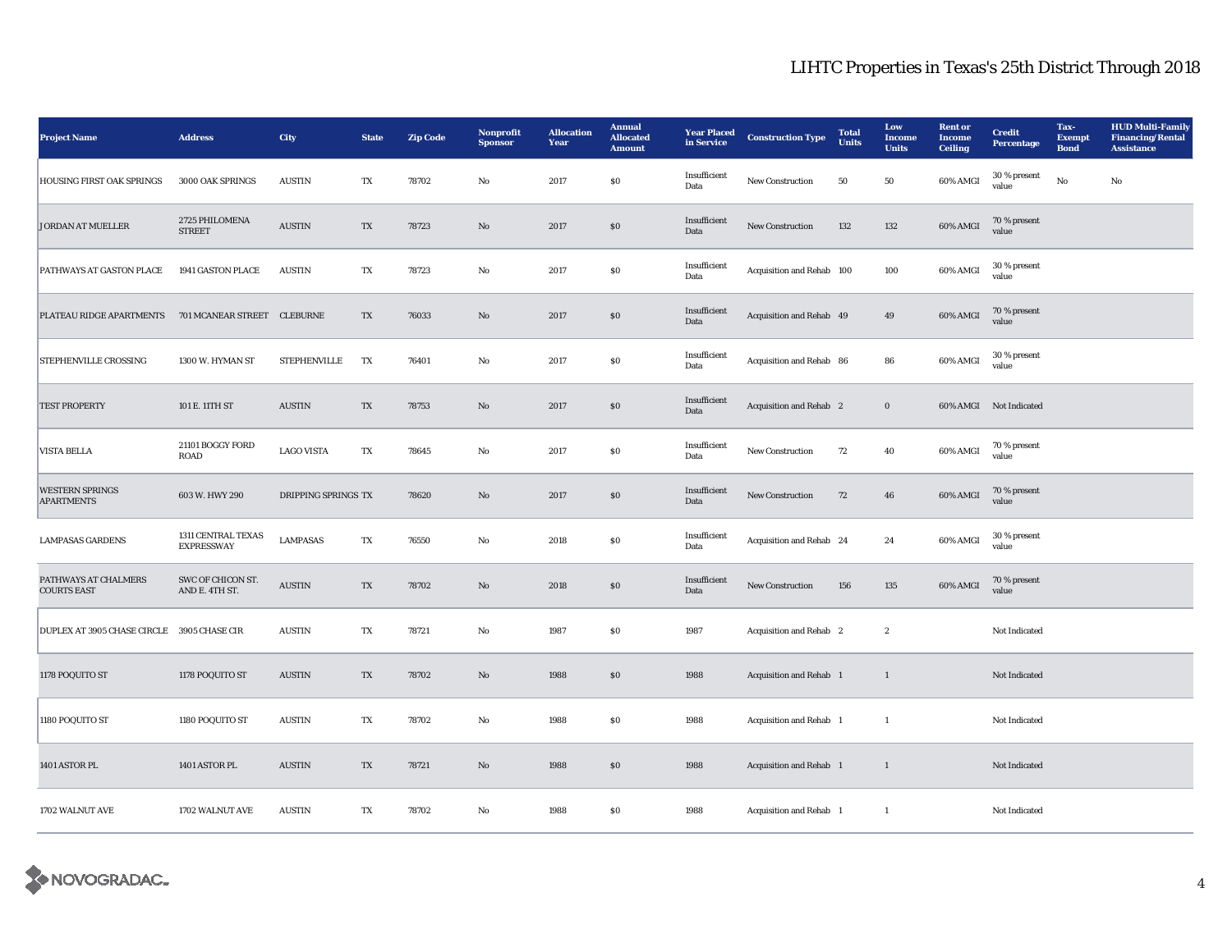| <b>Project Name</b>                         | <b>Address</b>                          | <b>City</b>         | <b>State</b>           | <b>Zip Code</b> | <b>Nonprofit</b><br><b>Sponsor</b> | <b>Allocation</b><br>Year | <b>Annual</b><br><b>Allocated</b><br><b>Amount</b> | <b>Year Placed</b><br>in Service | <b>Construction Type</b>       | <b>Total</b><br><b>Units</b> | Low<br><b>Income</b><br><b>Units</b> | <b>Rent</b> or<br><b>Income</b><br><b>Ceiling</b> | <b>Credit</b><br><b>Percentage</b> | Tax-<br><b>Exempt</b><br><b>Bond</b> | <b>HUD Multi-Family</b><br><b>Financing/Rental</b><br><b>Assistance</b> |
|---------------------------------------------|-----------------------------------------|---------------------|------------------------|-----------------|------------------------------------|---------------------------|----------------------------------------------------|----------------------------------|--------------------------------|------------------------------|--------------------------------------|---------------------------------------------------|------------------------------------|--------------------------------------|-------------------------------------------------------------------------|
| <b>HOUSING FIRST OAK SPRINGS</b>            | 3000 OAK SPRINGS                        | <b>AUSTIN</b>       | TX                     | 78702           | No                                 | 2017                      | $\$0$                                              | Insufficient<br>Data             | <b>New Construction</b>        | 50                           | 50                                   | 60% AMGI                                          | 30 % present<br>value              | No                                   | No                                                                      |
| <b>JORDAN AT MUELLER</b>                    | 2725 PHILOMENA<br><b>STREET</b>         | <b>AUSTIN</b>       | $\mathbf{T}\mathbf{X}$ | 78723           | $\mathbf{N}\mathbf{o}$             | 2017                      | $\bf{S0}$                                          | Insufficient<br>Data             | New Construction               | 132                          | 132                                  | 60% AMGI                                          | 70 % present<br>value              |                                      |                                                                         |
| PATHWAYS AT GASTON PLACE                    | 1941 GASTON PLACE                       | <b>AUSTIN</b>       | TX                     | 78723           | No                                 | 2017                      | \$0\$                                              | Insufficient<br>Data             | Acquisition and Rehab 100      |                              | 100                                  | 60% AMGI                                          | 30 % present<br>value              |                                      |                                                                         |
| PLATEAU RIDGE APARTMENTS                    | 701 MCANEAR STREET                      | <b>CLEBURNE</b>     | TX                     | 76033           | $\mathbf{N}\mathbf{o}$             | 2017                      | $\$0$                                              | Insufficient<br>Data             | Acquisition and Rehab 49       |                              | 49                                   | 60% AMGI                                          | 70 % present<br>value              |                                      |                                                                         |
| STEPHENVILLE CROSSING                       | 1300 W. HYMAN ST                        | <b>STEPHENVILLE</b> | TX                     | 76401           | $\mathbf{N}\mathbf{o}$             | 2017                      | ${\bf S0}$                                         | Insufficient<br>Data             | Acquisition and Rehab 86       |                              | 86                                   | 60% AMGI                                          | 30 % present<br>value              |                                      |                                                                         |
| <b>TEST PROPERTY</b>                        | 101 E. 11TH ST                          | <b>AUSTIN</b>       | TX                     | 78753           | No                                 | 2017                      | $\$0$                                              | Insufficient<br>Data             | Acquisition and Rehab 2        |                              | $\bf{0}$                             |                                                   | 60% AMGI Not Indicated             |                                      |                                                                         |
| <b>VISTA BELLA</b>                          | 21101 BOGGY FORD<br><b>ROAD</b>         | <b>LAGO VISTA</b>   | TX                     | 78645           | No                                 | 2017                      | $\$0$                                              | Insufficient<br>Data             | New Construction               | 72                           | 40                                   | 60% AMGI                                          | 70 % present<br>value              |                                      |                                                                         |
| <b>WESTERN SPRINGS</b><br><b>APARTMENTS</b> | 603 W. HWY 290                          | DRIPPING SPRINGS TX |                        | 78620           | $\mathbf{N}\mathbf{o}$             | 2017                      | $\$0$                                              | Insufficient<br>Data             | New Construction               | 72                           | 46                                   | 60% AMGI                                          | 70 % present<br>value              |                                      |                                                                         |
| <b>LAMPASAS GARDENS</b>                     | 1311 CENTRAL TEXAS<br><b>EXPRESSWAY</b> | <b>LAMPASAS</b>     | TX                     | 76550           | No                                 | 2018                      | ${\bf S0}$                                         | Insufficient<br>Data             | Acquisition and Rehab 24       |                              | 24                                   | 60% AMGI                                          | 30 % present<br>value              |                                      |                                                                         |
| PATHWAYS AT CHALMERS<br><b>COURTS EAST</b>  | SWC OF CHICON ST.<br>AND E. 4TH ST.     | <b>AUSTIN</b>       | TX                     | 78702           | No                                 | 2018                      | S <sub>0</sub>                                     | Insufficient<br>Data             | <b>New Construction</b>        | 156                          | 135                                  | 60% AMGI                                          | 70 % present<br>value              |                                      |                                                                         |
| DUPLEX AT 3905 CHASE CIRCLE                 | 3905 CHASE CIR                          | <b>AUSTIN</b>       | TX                     | 78721           | No                                 | 1987                      | ${\bf S0}$                                         | 1987                             | Acquisition and Rehab 2        |                              | $\boldsymbol{2}$                     |                                                   | Not Indicated                      |                                      |                                                                         |
| 1178 POQUITO ST                             | 1178 POQUITO ST                         | <b>AUSTIN</b>       | TX                     | 78702           | $\mathbf{N}\mathbf{o}$             | 1988                      | \$0\$                                              | 1988                             | Acquisition and Rehab 1        |                              | $\mathbf{1}$                         |                                                   | Not Indicated                      |                                      |                                                                         |
| 1180 POQUITO ST                             | 1180 POQUITO ST                         | <b>AUSTIN</b>       | TX                     | 78702           | $_{\rm No}$                        | 1988                      | ${\bf S0}$                                         | 1988                             | Acquisition and Rehab 1        |                              | $\mathbf{1}$                         |                                                   | Not Indicated                      |                                      |                                                                         |
| 1401 ASTOR PL                               | 1401 ASTOR PL                           | <b>AUSTIN</b>       | TX                     | 78721           | No                                 | 1988                      | $\$0$                                              | 1988                             | <b>Acquisition and Rehab</b> 1 |                              | $\mathbf{1}$                         |                                                   | Not Indicated                      |                                      |                                                                         |
| 1702 WALNUT AVE                             | 1702 WALNUT AVE                         | <b>AUSTIN</b>       | TX                     | 78702           | No                                 | 1988                      | ${\bf S0}$                                         | 1988                             | Acquisition and Rehab 1        |                              | 1                                    |                                                   | Not Indicated                      |                                      |                                                                         |

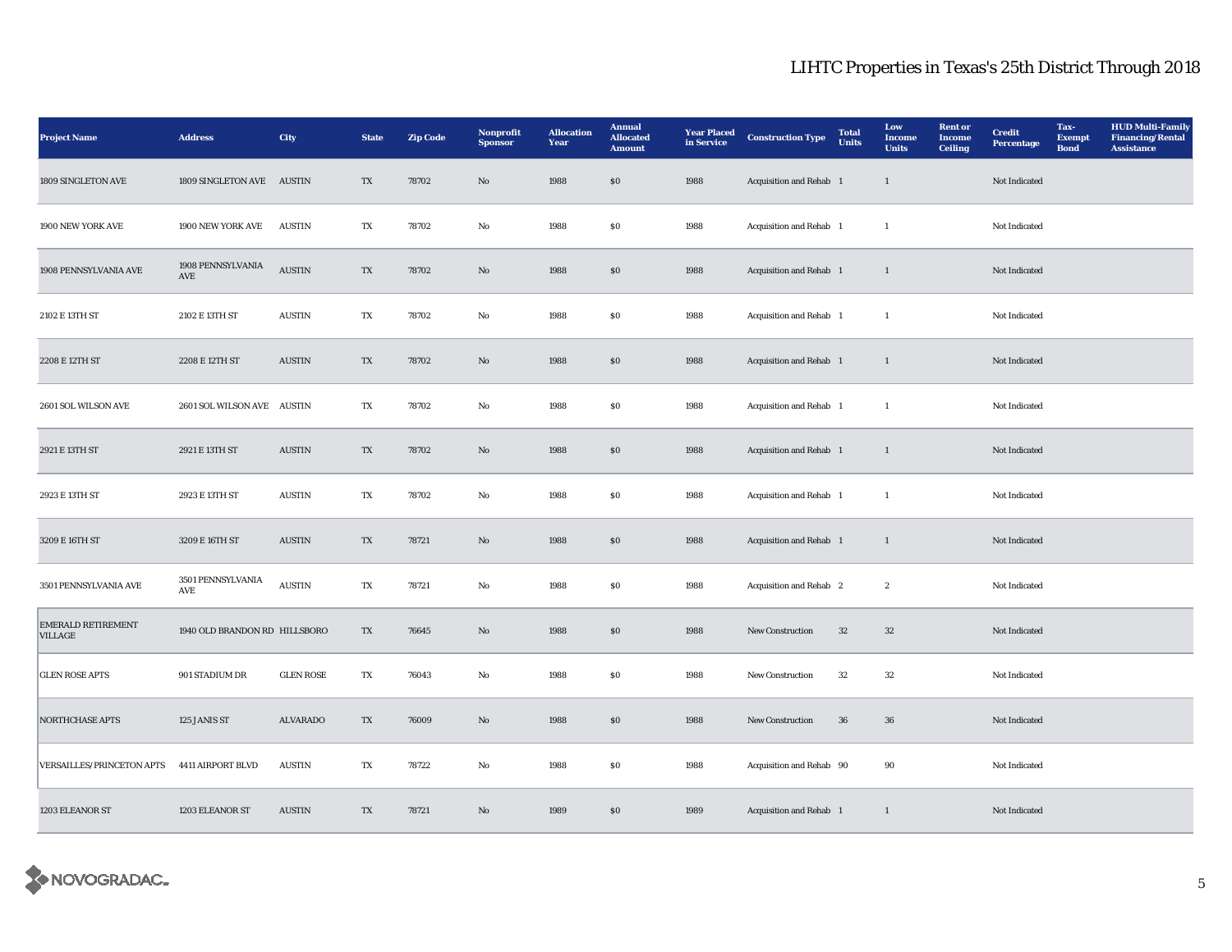| <b>Project Name</b>                         | <b>Address</b>                | <b>City</b>      | <b>State</b> | <b>Zip Code</b> | Nonprofit<br><b>Sponsor</b> | <b>Allocation</b><br>Year | <b>Annual</b><br><b>Allocated</b><br><b>Amount</b> | <b>Year Placed</b><br>in Service | <b>Construction Type</b>       | <b>Total</b><br><b>Units</b> | Low<br><b>Income</b><br><b>Units</b> | <b>Rent</b> or<br><b>Income</b><br><b>Ceiling</b> | <b>Credit</b><br>Percentage | Tax-<br><b>Exempt</b><br><b>Bond</b> | <b>HUD Multi-Family</b><br><b>Financing/Rental</b><br><b>Assistance</b> |
|---------------------------------------------|-------------------------------|------------------|--------------|-----------------|-----------------------------|---------------------------|----------------------------------------------------|----------------------------------|--------------------------------|------------------------------|--------------------------------------|---------------------------------------------------|-----------------------------|--------------------------------------|-------------------------------------------------------------------------|
| 1809 SINGLETON AVE                          | 1809 SINGLETON AVE AUSTIN     |                  | TX           | 78702           | $\mathbf{No}$               | 1988                      | \$0\$                                              | 1988                             | Acquisition and Rehab 1        |                              | $\mathbf{1}$                         |                                                   | Not Indicated               |                                      |                                                                         |
| 1900 NEW YORK AVE                           | 1900 NEW YORK AVE             | <b>AUSTIN</b>    | TX           | 78702           | $_{\rm No}$                 | 1988                      | $\boldsymbol{\mathsf{S}}\boldsymbol{\mathsf{0}}$   | 1988                             | Acquisition and Rehab 1        |                              | $\mathbf{1}$                         |                                                   | Not Indicated               |                                      |                                                                         |
| 1908 PENNSYLVANIA AVE                       | 1908 PENNSYLVANIA<br>AVE      | <b>AUSTIN</b>    | TX           | 78702           | $\mathbf{N}\mathbf{o}$      | 1988                      | \$0\$                                              | 1988                             | Acquisition and Rehab 1        |                              | $\mathbf{1}$                         |                                                   | Not Indicated               |                                      |                                                                         |
| 2102 E 13TH ST                              | 2102 E 13TH ST                | <b>AUSTIN</b>    | TX           | 78702           | No                          | 1988                      | S <sub>0</sub>                                     | 1988                             | Acquisition and Rehab 1        |                              | $\mathbf{1}$                         |                                                   | Not Indicated               |                                      |                                                                         |
| 2208 E 12TH ST                              | 2208 E 12TH ST                | <b>AUSTIN</b>    | TX           | 78702           | No                          | 1988                      | \$0\$                                              | 1988                             | Acquisition and Rehab 1        |                              | $\mathbf{1}$                         |                                                   | Not Indicated               |                                      |                                                                         |
| 2601 SOL WILSON AVE                         | 2601 SOL WILSON AVE AUSTIN    |                  | TX           | 78702           | No                          | 1988                      | <b>SO</b>                                          | 1988                             | <b>Acquisition and Rehab</b> 1 |                              | 1                                    |                                                   | Not Indicated               |                                      |                                                                         |
| 2921 E 13TH ST                              | 2921 E 13TH ST                | <b>AUSTIN</b>    | TX           | 78702           | No                          | 1988                      | \$0\$                                              | 1988                             | Acquisition and Rehab 1        |                              | $\mathbf{1}$                         |                                                   | Not Indicated               |                                      |                                                                         |
| 2923 E 13TH ST                              | 2923 E 13TH ST                | <b>AUSTIN</b>    | TX           | 78702           | No                          | 1988                      | S <sub>0</sub>                                     | 1988                             | Acquisition and Rehab 1        |                              | $\mathbf{1}$                         |                                                   | Not Indicated               |                                      |                                                                         |
| 3209 E 16TH ST                              | 3209 E 16TH ST                | <b>AUSTIN</b>    | TX           | 78721           | No                          | 1988                      | \$0\$                                              | 1988                             | Acquisition and Rehab 1        |                              | $\mathbf{1}$                         |                                                   | Not Indicated               |                                      |                                                                         |
| 3501 PENNSYLVANIA AVE                       | 3501 PENNSYLVANIA<br>AVE      | <b>AUSTIN</b>    | TX           | 78721           | No                          | 1988                      | \$0                                                | 1988                             | Acquisition and Rehab 2        |                              | $\boldsymbol{2}$                     |                                                   | Not Indicated               |                                      |                                                                         |
| <b>EMERALD RETIREMENT</b><br><b>VILLAGE</b> | 1940 OLD BRANDON RD HILLSBORO |                  | TX           | 76645           | No                          | 1988                      | \$0\$                                              | 1988                             | <b>New Construction</b>        | 32                           | 32                                   |                                                   | Not Indicated               |                                      |                                                                         |
| <b>GLEN ROSE APTS</b>                       | 901 STADIUM DR                | <b>GLEN ROSE</b> | TX           | 76043           | No                          | 1988                      | \$0\$                                              | 1988                             | <b>New Construction</b>        | 32                           | $32\,$                               |                                                   | Not Indicated               |                                      |                                                                         |
| NORTHCHASE APTS                             | 125 JANIS ST                  | <b>ALVARADO</b>  | TX           | 76009           | No                          | 1988                      | \$0\$                                              | 1988                             | New Construction               | 36                           | 36                                   |                                                   | Not Indicated               |                                      |                                                                         |
| <b>VERSAILLES/PRINCETON APTS</b>            | 4411 AIRPORT BLVD             | <b>AUSTIN</b>    | TX           | 78722           | No                          | 1988                      | <b>SO</b>                                          | 1988                             | Acquisition and Rehab 90       |                              | 90                                   |                                                   | Not Indicated               |                                      |                                                                         |
| 1203 ELEANOR ST                             | 1203 ELEANOR ST               | <b>AUSTIN</b>    | TX           | 78721           | No                          | 1989                      | \$0\$                                              | 1989                             | Acquisition and Rehab 1        |                              | $\mathbf{1}$                         |                                                   | Not Indicated               |                                      |                                                                         |

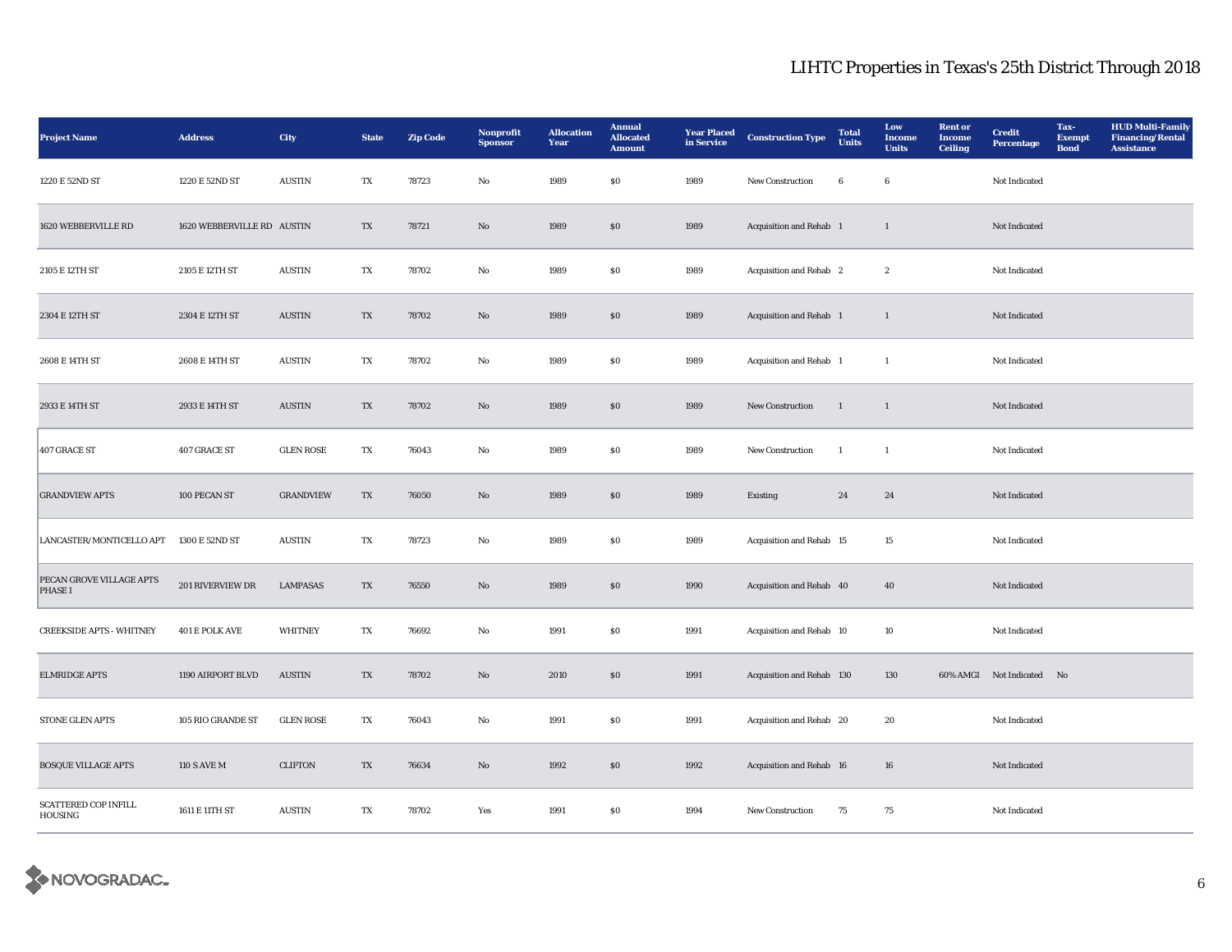| <b>Project Name</b>                           | <b>Address</b>             | City             | <b>State</b> | <b>Zip Code</b> | <b>Nonprofit</b><br><b>Sponsor</b> | <b>Allocation</b><br>Year | <b>Annual</b><br><b>Allocated</b><br><b>Amount</b> | <b>Year Placed</b><br>in Service | <b>Construction Type</b>  | <b>Total</b><br><b>Units</b> | Low<br>Income<br><b>Units</b> | <b>Rent</b> or<br><b>Income</b><br><b>Ceiling</b> | <b>Credit</b><br><b>Percentage</b> | Tax-<br><b>Exempt</b><br><b>Bond</b> | <b>HUD Multi-Family</b><br><b>Financing/Rental</b><br><b>Assistance</b> |
|-----------------------------------------------|----------------------------|------------------|--------------|-----------------|------------------------------------|---------------------------|----------------------------------------------------|----------------------------------|---------------------------|------------------------------|-------------------------------|---------------------------------------------------|------------------------------------|--------------------------------------|-------------------------------------------------------------------------|
| 1220 E 52ND ST                                | 1220 E 52ND ST             | <b>AUSTIN</b>    | TX           | 78723           | No                                 | 1989                      | $\boldsymbol{\mathsf{S}}\boldsymbol{\mathsf{0}}$   | 1989                             | New Construction          | $\bf 6$                      | $\bf 6$                       |                                                   | Not Indicated                      |                                      |                                                                         |
| 1620 WEBBERVILLE RD                           | 1620 WEBBERVILLE RD AUSTIN |                  | TX           | 78721           | No                                 | 1989                      | $\boldsymbol{\mathsf{S}}\boldsymbol{\mathsf{O}}$   | 1989                             | Acquisition and Rehab 1   |                              | $\mathbf{1}$                  |                                                   | Not Indicated                      |                                      |                                                                         |
| 2105 E 12TH ST                                | 2105 E 12TH ST             | <b>AUSTIN</b>    | TX           | 78702           | No                                 | 1989                      | \$0\$                                              | 1989                             | Acquisition and Rehab 2   |                              | $\boldsymbol{2}$              |                                                   | Not Indicated                      |                                      |                                                                         |
| 2304 E 12TH ST                                | 2304 E 12TH ST             | <b>AUSTIN</b>    | TX           | 78702           | No                                 | 1989                      | $\boldsymbol{\mathsf{S}}\boldsymbol{\mathsf{0}}$   | 1989                             | Acquisition and Rehab 1   |                              | $\mathbf{1}$                  |                                                   | Not Indicated                      |                                      |                                                                         |
| 2608 E 14TH ST                                | 2608 E 14TH ST             | <b>AUSTIN</b>    | TX           | 78702           | No                                 | 1989                      | \$0\$                                              | 1989                             | Acquisition and Rehab 1   |                              | $\mathbf{1}$                  |                                                   | Not Indicated                      |                                      |                                                                         |
| 2933 E 14TH ST                                | 2933 E 14TH ST             | <b>AUSTIN</b>    | TX           | 78702           | No                                 | 1989                      | $\boldsymbol{\mathsf{S}}\boldsymbol{\mathsf{O}}$   | 1989                             | New Construction          | -1                           | $\mathbf{1}$                  |                                                   | Not Indicated                      |                                      |                                                                         |
| 407 GRACE ST                                  | 407 GRACE ST               | <b>GLEN ROSE</b> | TX           | 76043           | No                                 | 1989                      | \$0\$                                              | 1989                             | <b>New Construction</b>   | $\mathbf{1}$                 | $\mathbf{1}$                  |                                                   | Not Indicated                      |                                      |                                                                         |
| <b>GRANDVIEW APTS</b>                         | 100 PECAN ST               | <b>GRANDVIEW</b> | TX           | 76050           | No                                 | 1989                      | S <sub>0</sub>                                     | 1989                             | Existing                  | 24                           | 24                            |                                                   | Not Indicated                      |                                      |                                                                         |
| LANCASTER/MONTICELLO APT                      | 1300 E 52ND ST             | <b>AUSTIN</b>    | TX           | 78723           | No                                 | 1989                      | \$0\$                                              | 1989                             | Acquisition and Rehab 15  |                              | 15                            |                                                   | Not Indicated                      |                                      |                                                                         |
| PECAN GROVE VILLAGE APTS<br>PHASE I           | 201 RIVERVIEW DR           | <b>LAMPASAS</b>  | TX           | 76550           | $\mathbf{N}\mathbf{o}$             | 1989                      | ${\bf S0}$                                         | 1990                             | Acquisition and Rehab 40  |                              | 40                            |                                                   | Not Indicated                      |                                      |                                                                         |
| <b>CREEKSIDE APTS - WHITNEY</b>               | 401 E POLK AVE             | <b>WHITNEY</b>   | TX           | 76692           | No                                 | 1991                      | SO.                                                | 1991                             | Acquisition and Rehab 10  |                              | 10                            |                                                   | Not Indicated                      |                                      |                                                                         |
| <b>ELMRIDGE APTS</b>                          | 1190 AIRPORT BLVD          | <b>AUSTIN</b>    | TX           | 78702           | $\mathbf{N}\mathbf{o}$             | 2010                      | \$0\$                                              | 1991                             | Acquisition and Rehab 130 |                              | 130                           |                                                   | 60% AMGI Not Indicated No          |                                      |                                                                         |
| STONE GLEN APTS                               | 105 RIO GRANDE ST          | <b>GLEN ROSE</b> | TX           | 76043           | No                                 | 1991                      | $\boldsymbol{\mathsf{S}}\boldsymbol{\mathsf{O}}$   | 1991                             | Acquisition and Rehab 20  |                              | 20                            |                                                   | Not Indicated                      |                                      |                                                                         |
| <b>BOSQUE VILLAGE APTS</b>                    | <b>110 S AVE M</b>         | <b>CLIFTON</b>   | TX           | 76634           | No                                 | 1992                      | $\boldsymbol{\mathsf{S}}\boldsymbol{\mathsf{O}}$   | 1992                             | Acquisition and Rehab 16  |                              | 16                            |                                                   | Not Indicated                      |                                      |                                                                         |
| <b>SCATTERED COP INFILL</b><br><b>HOUSING</b> | 1611 E 11TH ST             | <b>AUSTIN</b>    | TX           | 78702           | Yes                                | 1991                      | SO.                                                | 1994                             | <b>New Construction</b>   | 75                           | 75                            |                                                   | Not Indicated                      |                                      |                                                                         |